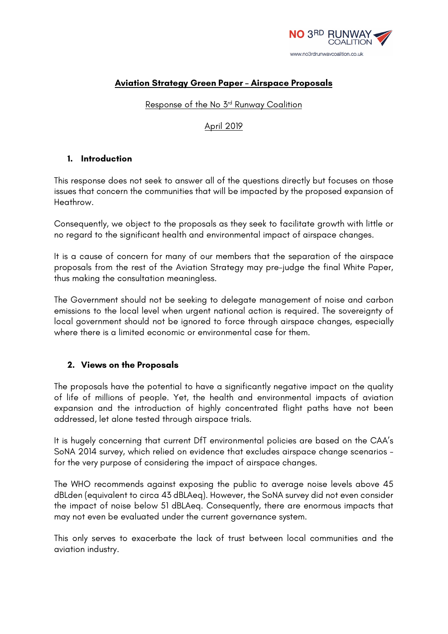

### **Aviation Strategy Green Paper – Airspace Proposals**

Response of the No 3rd Runway Coalition

### April 2019

#### **1. Introduction**

This response does not seek to answer all of the questions directly but focuses on those issues that concern the communities that will be impacted by the proposed expansion of Heathrow.

Consequently, we object to the proposals as they seek to facilitate growth with little or no regard to the significant health and environmental impact of airspace changes.

It is a cause of concern for many of our members that the separation of the airspace proposals from the rest of the Aviation Strategy may pre-judge the final White Paper, thus making the consultation meaningless.

The Government should not be seeking to delegate management of noise and carbon emissions to the local level when urgent national action is required. The sovereignty of local government should not be ignored to force through airspace changes, especially where there is a limited economic or environmental case for them.

### **2. Views on the Proposals**

The proposals have the potential to have a significantly negative impact on the quality of life of millions of people. Yet, the health and environmental impacts of aviation expansion and the introduction of highly concentrated flight paths have not been addressed, let alone tested through airspace trials.

It is hugely concerning that current DfT environmental policies are based on the CAA's SoNA 2014 survey, which relied on evidence that excludes airspace change scenarios for the very purpose of considering the impact of airspace changes.

The WHO recommends against exposing the public to average noise levels above 45 dBLden (equivalent to circa 43 dBLAeq). However, the SoNA survey did not even consider the impact of noise below 51 dBLAeq. Consequently, there are enormous impacts that may not even be evaluated under the current governance system.

This only serves to exacerbate the lack of trust between local communities and the aviation industry.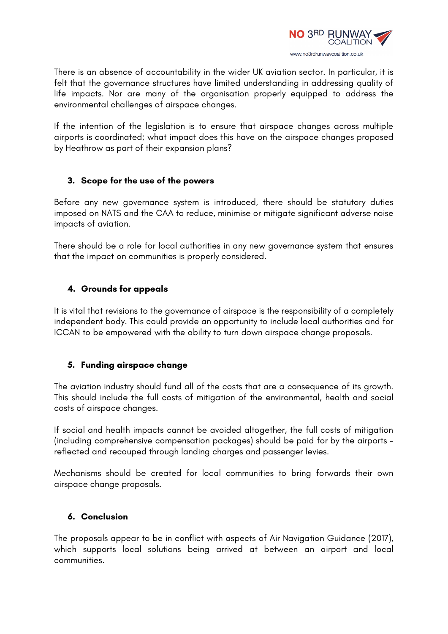

There is an absence of accountability in the wider UK aviation sector. In particular, it is felt that the governance structures have limited understanding in addressing quality of life impacts. Nor are many of the organisation properly equipped to address the environmental challenges of airspace changes.

If the intention of the legislation is to ensure that airspace changes across multiple airports is coordinated; what impact does this have on the airspace changes proposed by Heathrow as part of their expansion plans?

### **3. Scope for the use of the powers**

Before any new governance system is introduced, there should be statutory duties imposed on NATS and the CAA to reduce, minimise or mitigate significant adverse noise impacts of aviation.

There should be a role for local authorities in any new governance system that ensures that the impact on communities is properly considered.

# **4. Grounds for appeals**

It is vital that revisions to the governance of airspace is the responsibility of a completely independent body. This could provide an opportunity to include local authorities and for ICCAN to be empowered with the ability to turn down airspace change proposals.

# **5. Funding airspace change**

The aviation industry should fund all of the costs that are a consequence of its growth. This should include the full costs of mitigation of the environmental, health and social costs of airspace changes.

If social and health impacts cannot be avoided altogether, the full costs of mitigation (including comprehensive compensation packages) should be paid for by the airports reflected and recouped through landing charges and passenger levies.

Mechanisms should be created for local communities to bring forwards their own airspace change proposals.

### **6. Conclusion**

The proposals appear to be in conflict with aspects of Air Navigation Guidance (2017), which supports local solutions being arrived at between an airport and local communities.